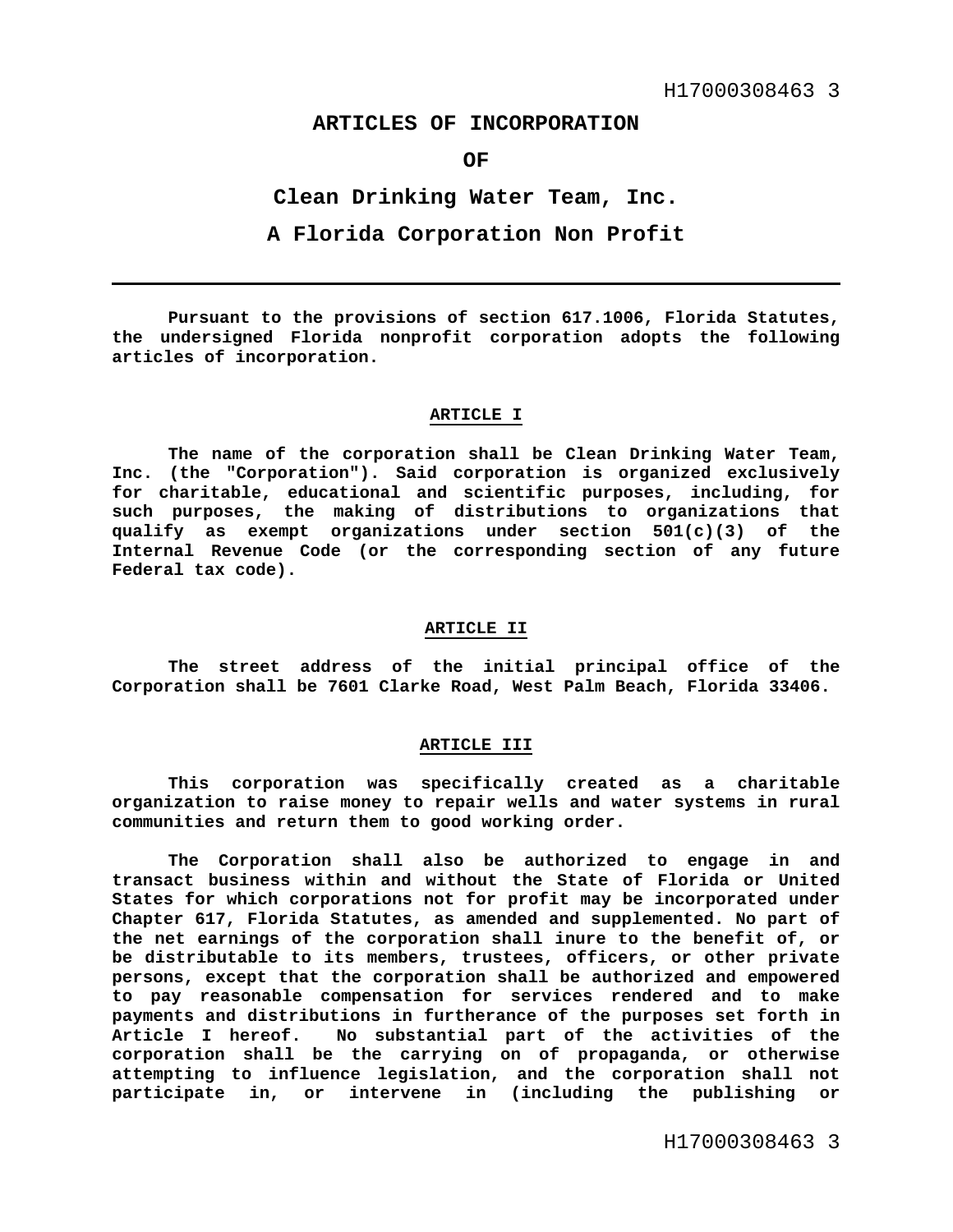# **ARTICLES OF INCORPORATION**

**OF** 

**Clean Drinking Water Team, Inc.** 

**A Florida Corporation Non Profit** 

**Pursuant to the provisions of section 617.1006, Florida Statutes, the undersigned Florida nonprofit corporation adopts the following articles of incorporation.** 

### **ARTICLE I**

 **The name of the corporation shall be Clean Drinking Water Team, Inc. (the "Corporation"). Said corporation is organized exclusively for charitable, educational and scientific purposes, including, for such purposes, the making of distributions to organizations that qualify as exempt organizations under section 501(c)(3) of the Internal Revenue Code (or the corresponding section of any future Federal tax code).** 

### **ARTICLE II**

**The street address of the initial principal office of the Corporation shall be 7601 Clarke Road, West Palm Beach, Florida 33406.** 

### **ARTICLE III**

 **This corporation was specifically created as a charitable organization to raise money to repair wells and water systems in rural communities and return them to good working order.** 

**The Corporation shall also be authorized to engage in and transact business within and without the State of Florida or United States for which corporations not for profit may be incorporated under Chapter 617, Florida Statutes, as amended and supplemented. No part of the net earnings of the corporation shall inure to the benefit of, or be distributable to its members, trustees, officers, or other private persons, except that the corporation shall be authorized and empowered to pay reasonable compensation for services rendered and to make payments and distributions in furtherance of the purposes set forth in Article I hereof. No substantial part of the activities of the corporation shall be the carrying on of propaganda, or otherwise attempting to influence legislation, and the corporation shall not participate in, or intervene in (including the publishing or**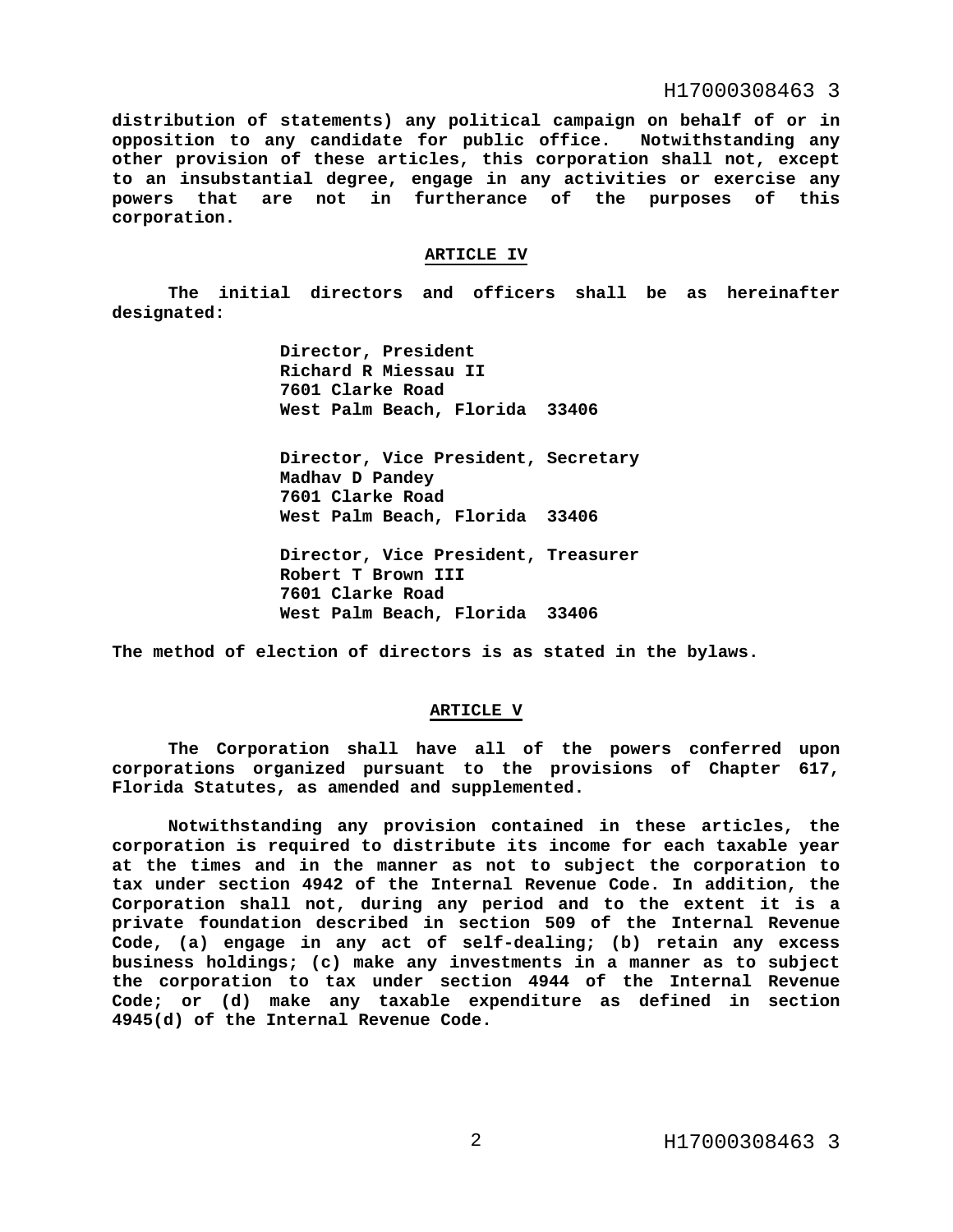## H17000308463 3

**distribution of statements) any political campaign on behalf of or in opposition to any candidate for public office. Notwithstanding any other provision of these articles, this corporation shall not, except to an insubstantial degree, engage in any activities or exercise any powers that are not in furtherance of the purposes of this corporation.**

### **ARTICLE IV**

 **The initial directors and officers shall be as hereinafter designated:** 

> **Director, President Richard R Miessau II 7601 Clarke Road West Palm Beach, Florida 33406**

 **Director, Vice President, Secretary Madhav D Pandey 7601 Clarke Road West Palm Beach, Florida 33406** 

 **Director, Vice President, Treasurer Robert T Brown III 7601 Clarke Road West Palm Beach, Florida 33406** 

**The method of election of directors is as stated in the bylaws.** 

#### **ARTICLE V**

**The Corporation shall have all of the powers conferred upon corporations organized pursuant to the provisions of Chapter 617, Florida Statutes, as amended and supplemented.** 

**Notwithstanding any provision contained in these articles, the corporation is required to distribute its income for each taxable year at the times and in the manner as not to subject the corporation to tax under section 4942 of the Internal Revenue Code. In addition, the Corporation shall not, during any period and to the extent it is a private foundation described in section 509 of the Internal Revenue Code, (a) engage in any act of self-dealing; (b) retain any excess business holdings; (c) make any investments in a manner as to subject the corporation to tax under section 4944 of the Internal Revenue Code; or (d) make any taxable expenditure as defined in section 4945(d) of the Internal Revenue Code.**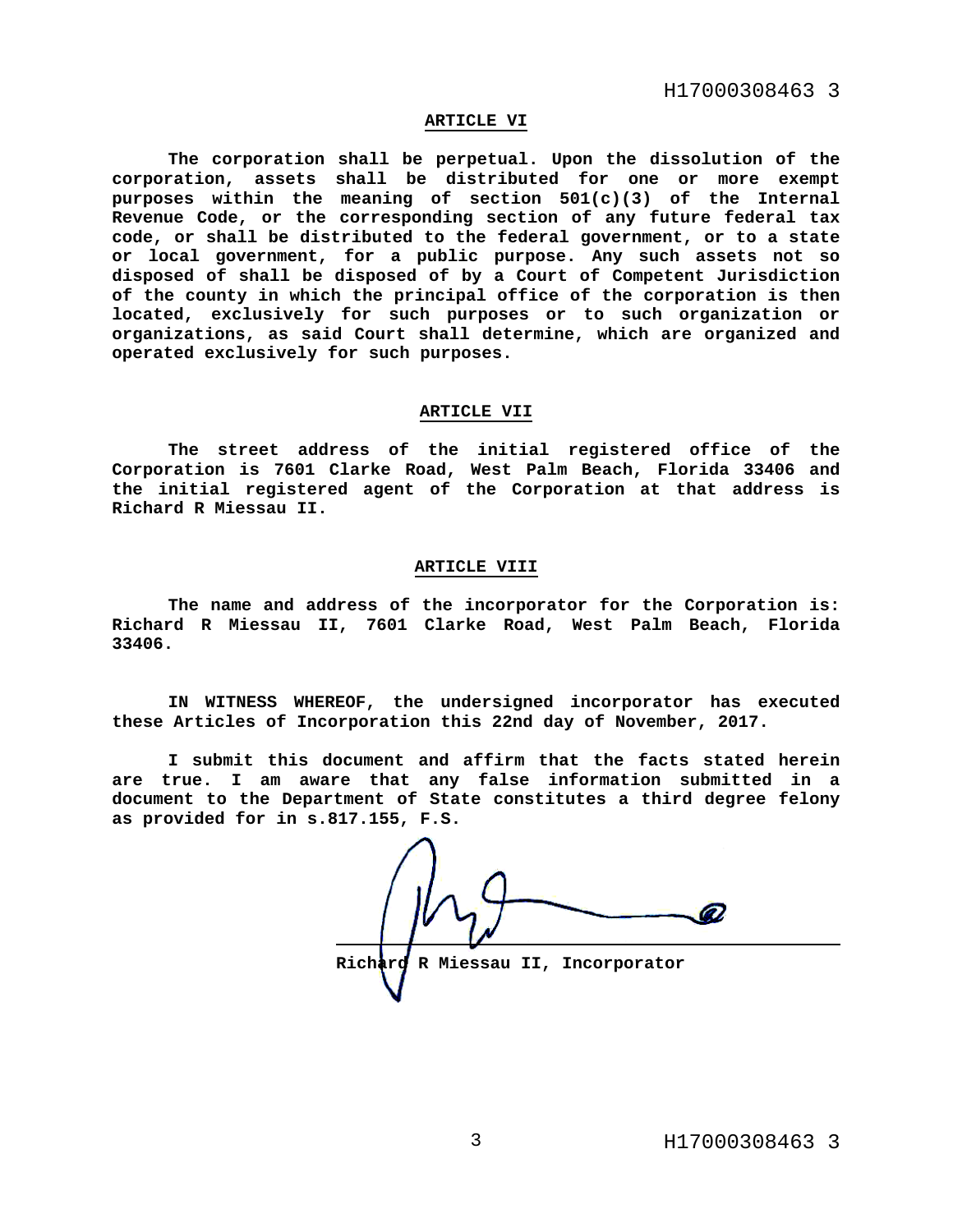H17000308463 3

## **ARTICLE VI**

**The corporation shall be perpetual. Upon the dissolution of the corporation, assets shall be distributed for one or more exempt purposes within the meaning of section 501(c)(3) of the Internal Revenue Code, or the corresponding section of any future federal tax code, or shall be distributed to the federal government, or to a state or local government, for a public purpose. Any such assets not so disposed of shall be disposed of by a Court of Competent Jurisdiction of the county in which the principal office of the corporation is then located, exclusively for such purposes or to such organization or organizations, as said Court shall determine, which are organized and operated exclusively for such purposes.** 

## **ARTICLE VII**

**The street address of the initial registered office of the Corporation is 7601 Clarke Road, West Palm Beach, Florida 33406 and the initial registered agent of the Corporation at that address is Richard R Miessau II.** 

#### **ARTICLE VIII**

**The name and address of the incorporator for the Corporation is: Richard R Miessau II, 7601 Clarke Road, West Palm Beach, Florida 33406.** 

**IN WITNESS WHEREOF, the undersigned incorporator has executed these Articles of Incorporation this 22nd day of November, 2017.** 

**I submit this document and affirm that the facts stated herein are true. I am aware that any false information submitted in a document to the Department of State constitutes a third degree felony as provided for in s.817.155, F.S.** 

 **Richard R Miessau II, Incorporator**